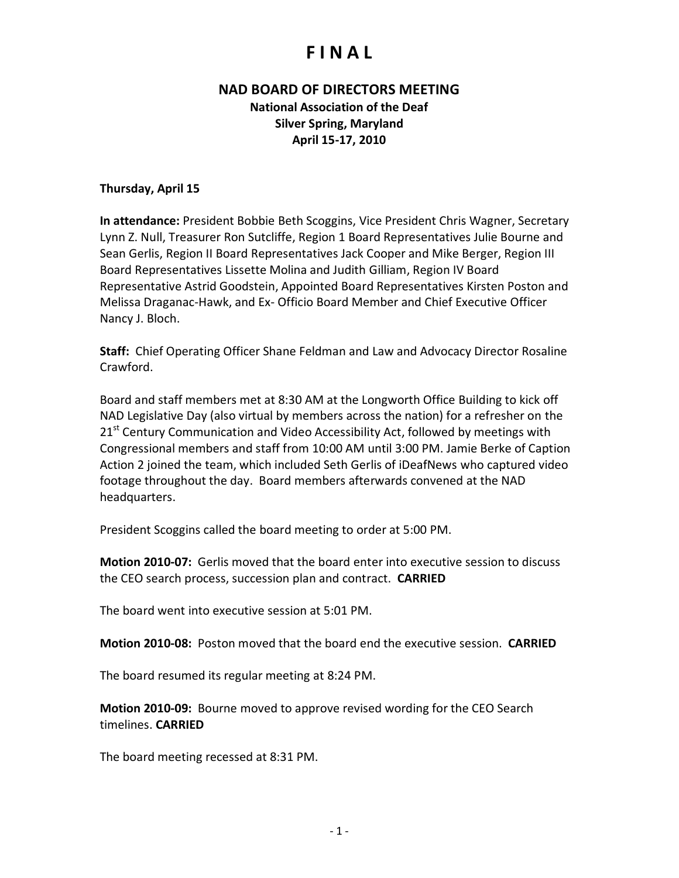#### **NAD BOARD OF DIRECTORS MEETING**

**National Association of the Deaf Silver Spring, Maryland April 15-17, 2010**

#### **Thursday, April 15**

**In attendance:** President Bobbie Beth Scoggins, Vice President Chris Wagner, Secretary Lynn Z. Null, Treasurer Ron Sutcliffe, Region 1 Board Representatives Julie Bourne and Sean Gerlis, Region II Board Representatives Jack Cooper and Mike Berger, Region III Board Representatives Lissette Molina and Judith Gilliam, Region IV Board Representative Astrid Goodstein, Appointed Board Representatives Kirsten Poston and Melissa Draganac-Hawk, and Ex- Officio Board Member and Chief Executive Officer Nancy J. Bloch.

**Staff:** Chief Operating Officer Shane Feldman and Law and Advocacy Director Rosaline Crawford.

Board and staff members met at 8:30 AM at the Longworth Office Building to kick off NAD Legislative Day (also virtual by members across the nation) for a refresher on the 21<sup>st</sup> Century Communication and Video Accessibility Act, followed by meetings with Congressional members and staff from 10:00 AM until 3:00 PM. Jamie Berke of Caption Action 2 joined the team, which included Seth Gerlis of iDeafNews who captured video footage throughout the day. Board members afterwards convened at the NAD headquarters.

President Scoggins called the board meeting to order at 5:00 PM.

**Motion 2010-07:** Gerlis moved that the board enter into executive session to discuss the CEO search process, succession plan and contract. **CARRIED**

The board went into executive session at 5:01 PM.

**Motion 2010-08:** Poston moved that the board end the executive session. **CARRIED**

The board resumed its regular meeting at 8:24 PM.

**Motion 2010-09:** Bourne moved to approve revised wording for the CEO Search timelines. **CARRIED**

The board meeting recessed at 8:31 PM.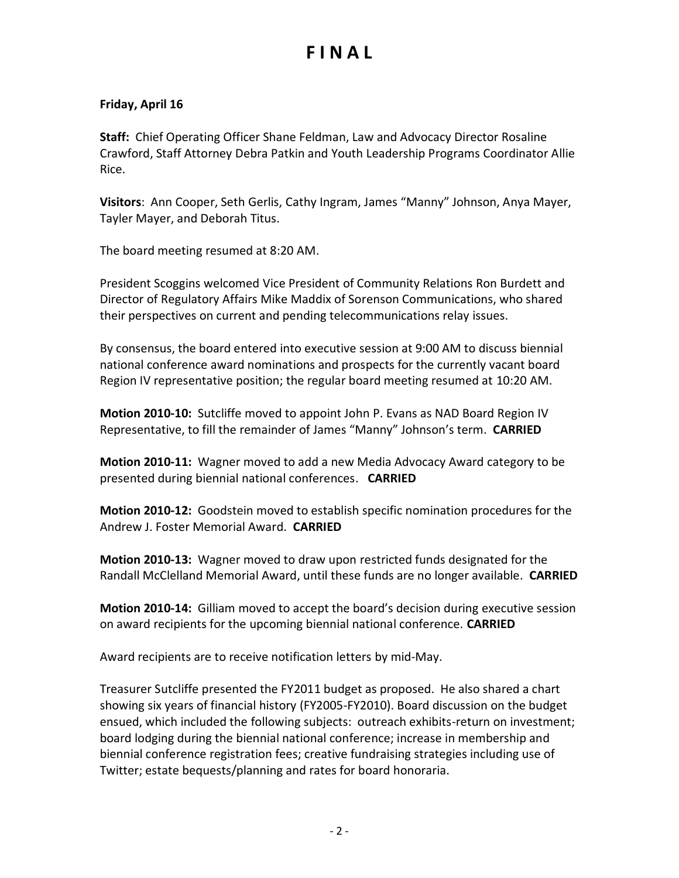#### **Friday, April 16**

**Staff:** Chief Operating Officer Shane Feldman, Law and Advocacy Director Rosaline Crawford, Staff Attorney Debra Patkin and Youth Leadership Programs Coordinator Allie Rice.

**Visitors**: Ann Cooper, Seth Gerlis, Cathy Ingram, James "Manny" Johnson, Anya Mayer, Tayler Mayer, and Deborah Titus.

The board meeting resumed at 8:20 AM.

President Scoggins welcomed Vice President of Community Relations Ron Burdett and Director of Regulatory Affairs Mike Maddix of Sorenson Communications, who shared their perspectives on current and pending telecommunications relay issues.

By consensus, the board entered into executive session at 9:00 AM to discuss biennial national conference award nominations and prospects for the currently vacant board Region IV representative position; the regular board meeting resumed at 10:20 AM.

**Motion 2010-10:** Sutcliffe moved to appoint John P. Evans as NAD Board Region IV Representative, to fill the remainder of James "Manny" Johnson's term. **CARRIED**

**Motion 2010-11:** Wagner moved to add a new Media Advocacy Award category to be presented during biennial national conferences. **CARRIED**

**Motion 2010-12:** Goodstein moved to establish specific nomination procedures for the Andrew J. Foster Memorial Award. **CARRIED**

**Motion 2010-13:** Wagner moved to draw upon restricted funds designated for the Randall McClelland Memorial Award, until these funds are no longer available. **CARRIED**

**Motion 2010-14:** Gilliam moved to accept the board's decision during executive session on award recipients for the upcoming biennial national conference. **CARRIED**

Award recipients are to receive notification letters by mid-May.

Treasurer Sutcliffe presented the FY2011 budget as proposed. He also shared a chart showing six years of financial history (FY2005-FY2010). Board discussion on the budget ensued, which included the following subjects: outreach exhibits-return on investment; board lodging during the biennial national conference; increase in membership and biennial conference registration fees; creative fundraising strategies including use of Twitter; estate bequests/planning and rates for board honoraria.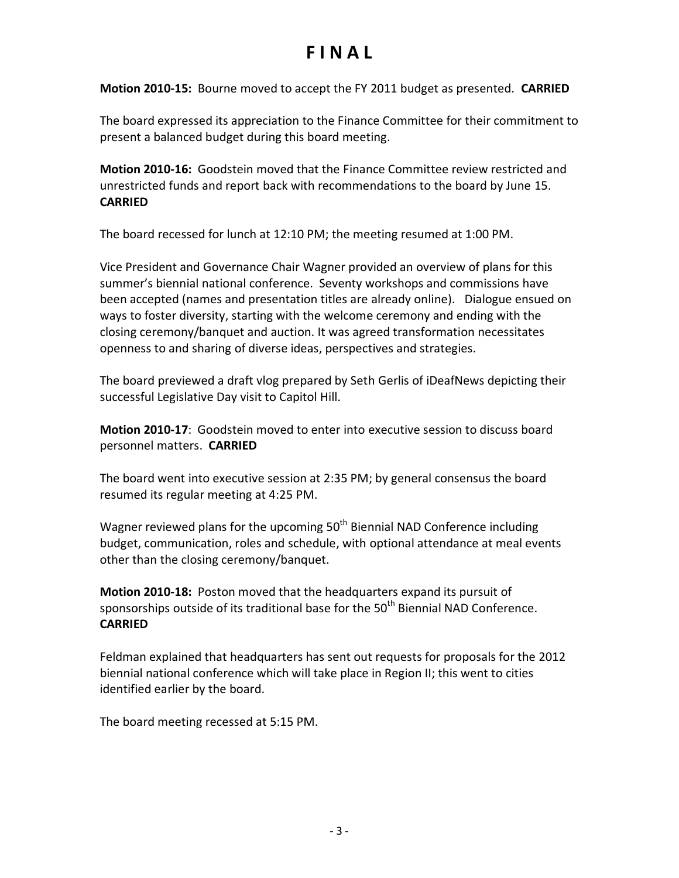**Motion 2010-15:** Bourne moved to accept the FY 2011 budget as presented. **CARRIED**

The board expressed its appreciation to the Finance Committee for their commitment to present a balanced budget during this board meeting.

**Motion 2010-16:** Goodstein moved that the Finance Committee review restricted and unrestricted funds and report back with recommendations to the board by June 15. **CARRIED**

The board recessed for lunch at 12:10 PM; the meeting resumed at 1:00 PM.

Vice President and Governance Chair Wagner provided an overview of plans for this summer's biennial national conference. Seventy workshops and commissions have been accepted (names and presentation titles are already online). Dialogue ensued on ways to foster diversity, starting with the welcome ceremony and ending with the closing ceremony/banquet and auction. It was agreed transformation necessitates openness to and sharing of diverse ideas, perspectives and strategies.

The board previewed a draft vlog prepared by Seth Gerlis of iDeafNews depicting their successful Legislative Day visit to Capitol Hill.

**Motion 2010-17**: Goodstein moved to enter into executive session to discuss board personnel matters. **CARRIED**

The board went into executive session at 2:35 PM; by general consensus the board resumed its regular meeting at 4:25 PM.

Wagner reviewed plans for the upcoming  $50<sup>th</sup>$  Biennial NAD Conference including budget, communication, roles and schedule, with optional attendance at meal events other than the closing ceremony/banquet.

**Motion 2010-18:** Poston moved that the headquarters expand its pursuit of sponsorships outside of its traditional base for the  $50<sup>th</sup>$  Biennial NAD Conference. **CARRIED**

Feldman explained that headquarters has sent out requests for proposals for the 2012 biennial national conference which will take place in Region II; this went to cities identified earlier by the board.

The board meeting recessed at 5:15 PM.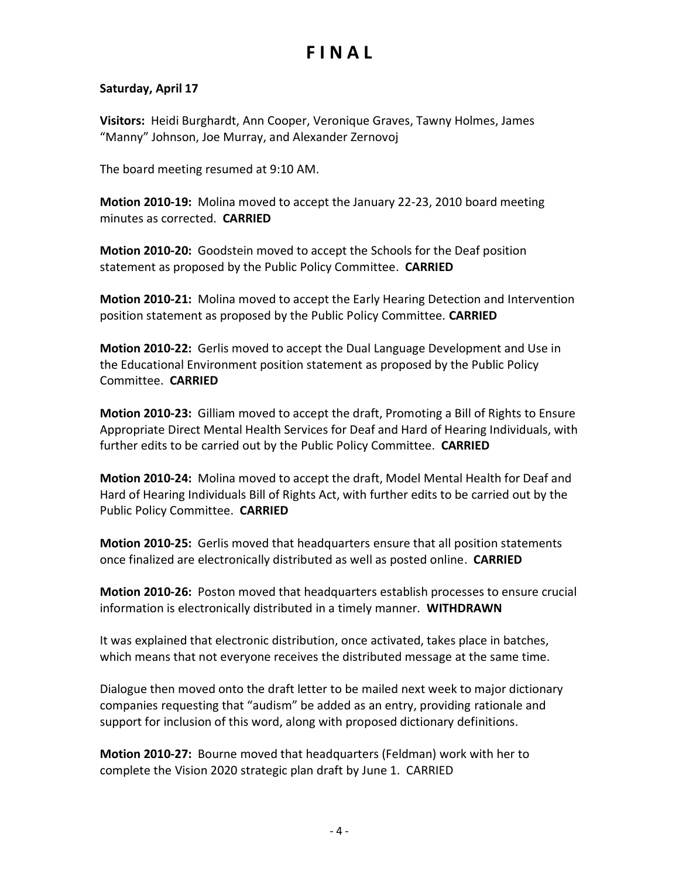#### **Saturday, April 17**

**Visitors:** Heidi Burghardt, Ann Cooper, Veronique Graves, Tawny Holmes, James "Manny" Johnson, Joe Murray, and Alexander Zernovoj

The board meeting resumed at 9:10 AM.

**Motion 2010-19:** Molina moved to accept the January 22-23, 2010 board meeting minutes as corrected. **CARRIED**

**Motion 2010-20:** Goodstein moved to accept the Schools for the Deaf position statement as proposed by the Public Policy Committee. **CARRIED**

**Motion 2010-21:** Molina moved to accept the Early Hearing Detection and Intervention position statement as proposed by the Public Policy Committee. **CARRIED**

**Motion 2010-22:** Gerlis moved to accept the Dual Language Development and Use in the Educational Environment position statement as proposed by the Public Policy Committee. **CARRIED**

**Motion 2010-23:** Gilliam moved to accept the draft, Promoting a Bill of Rights to Ensure Appropriate Direct Mental Health Services for Deaf and Hard of Hearing Individuals, with further edits to be carried out by the Public Policy Committee. **CARRIED**

**Motion 2010-24:** Molina moved to accept the draft, Model Mental Health for Deaf and Hard of Hearing Individuals Bill of Rights Act, with further edits to be carried out by the Public Policy Committee. **CARRIED**

**Motion 2010-25:** Gerlis moved that headquarters ensure that all position statements once finalized are electronically distributed as well as posted online. **CARRIED**

**Motion 2010-26:** Poston moved that headquarters establish processes to ensure crucial information is electronically distributed in a timely manner. **WITHDRAWN**

It was explained that electronic distribution, once activated, takes place in batches, which means that not everyone receives the distributed message at the same time.

Dialogue then moved onto the draft letter to be mailed next week to major dictionary companies requesting that "audism" be added as an entry, providing rationale and support for inclusion of this word, along with proposed dictionary definitions.

**Motion 2010-27:** Bourne moved that headquarters (Feldman) work with her to complete the Vision 2020 strategic plan draft by June 1. CARRIED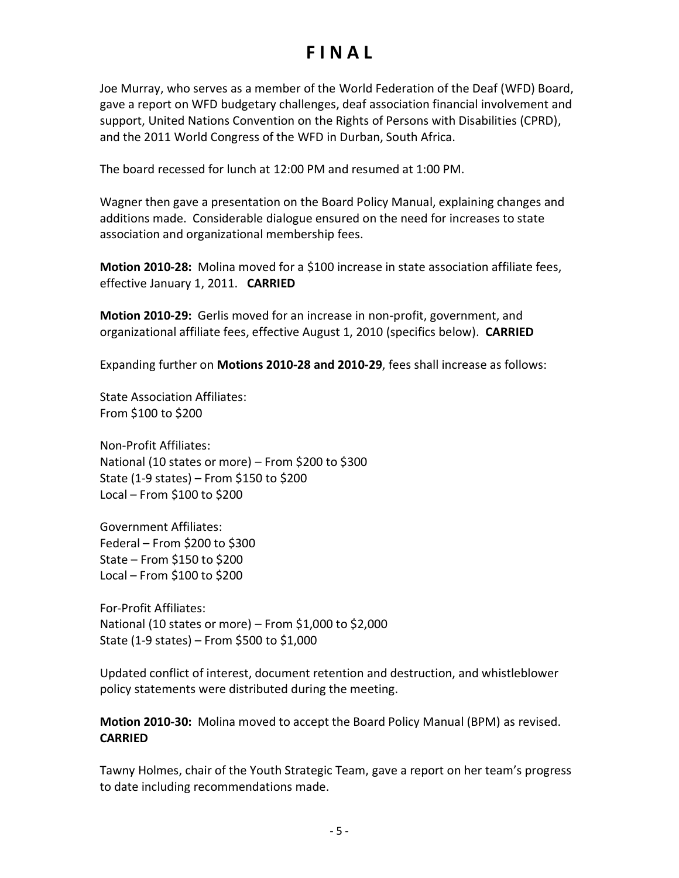Joe Murray, who serves as a member of the World Federation of the Deaf (WFD) Board, gave a report on WFD budgetary challenges, deaf association financial involvement and support, United Nations Convention on the Rights of Persons with Disabilities (CPRD), and the 2011 World Congress of the WFD in Durban, South Africa.

The board recessed for lunch at 12:00 PM and resumed at 1:00 PM.

Wagner then gave a presentation on the Board Policy Manual, explaining changes and additions made. Considerable dialogue ensured on the need for increases to state association and organizational membership fees.

**Motion 2010-28:** Molina moved for a \$100 increase in state association affiliate fees, effective January 1, 2011. **CARRIED**

**Motion 2010-29:** Gerlis moved for an increase in non-profit, government, and organizational affiliate fees, effective August 1, 2010 (specifics below). **CARRIED**

Expanding further on **Motions 2010-28 and 2010-29**, fees shall increase as follows:

State Association Affiliates: From \$100 to \$200

Non-Profit Affiliates: National (10 states or more) – From \$200 to \$300 State (1-9 states) – From \$150 to \$200 Local – From \$100 to \$200

Government Affiliates: Federal – From \$200 to \$300 State – From \$150 to \$200 Local – From \$100 to \$200

For-Profit Affiliates: National (10 states or more) – From \$1,000 to \$2,000 State (1-9 states) – From \$500 to \$1,000

Updated conflict of interest, document retention and destruction, and whistleblower policy statements were distributed during the meeting.

**Motion 2010-30:** Molina moved to accept the Board Policy Manual (BPM) as revised. **CARRIED**

Tawny Holmes, chair of the Youth Strategic Team, gave a report on her team's progress to date including recommendations made.